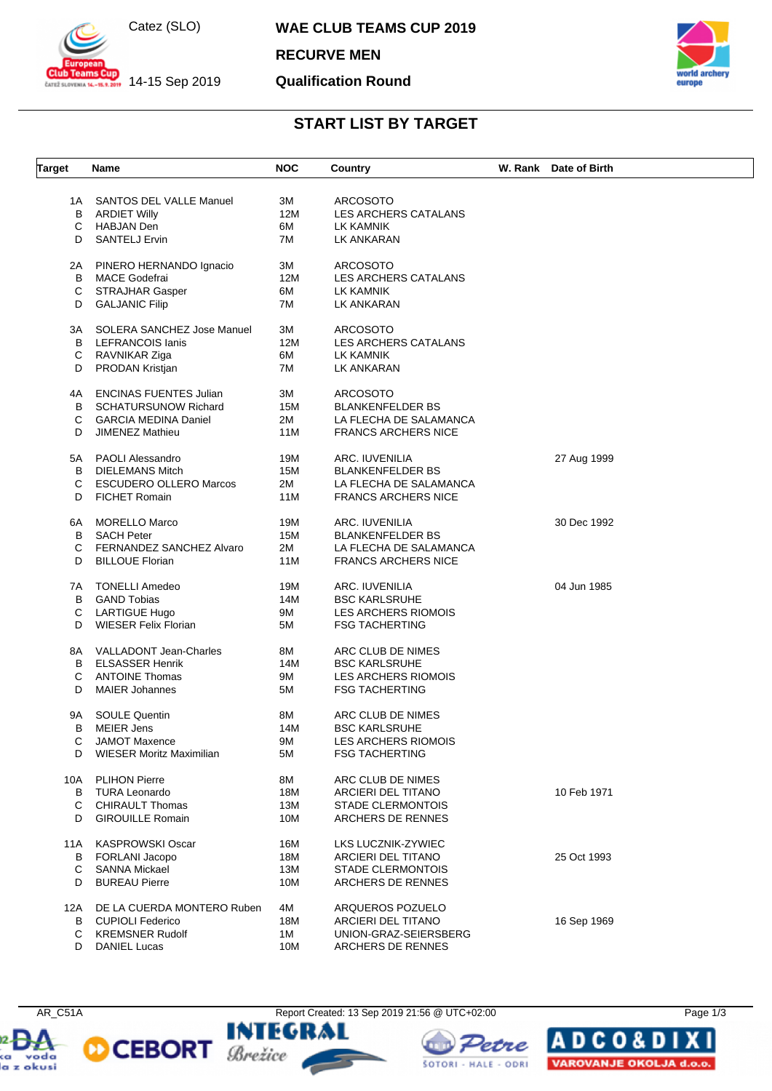

 $\frac{1}{201}$  14-15 Sep 2019

**WAE CLUB TEAMS CUP 2019**

**RECURVE MEN**

#### **Qualification Round**



# **START LIST BY TARGET**

| <b>Target</b> | Name                            | <b>NOC</b> | Country                    | W. Rank Date of Birth |
|---------------|---------------------------------|------------|----------------------------|-----------------------|
|               |                                 |            |                            |                       |
|               | 1A SANTOS DEL VALLE Manuel      | ЗM         | <b>ARCOSOTO</b>            |                       |
| B             | <b>ARDIET Willy</b>             | 12M        | LES ARCHERS CATALANS       |                       |
| С             | HABJAN Den                      | 6M         | LK KAMNIK                  |                       |
| D             | <b>SANTELJ Ervin</b>            | 7M         | LK ANKARAN                 |                       |
| 2A            | PINERO HERNANDO Ignacio         | ЗΜ         | <b>ARCOSOTO</b>            |                       |
| В             | <b>MACE Godefrai</b>            | 12M        | LES ARCHERS CATALANS       |                       |
| С             | <b>STRAJHAR Gasper</b>          | 6M         | LK KAMNIK                  |                       |
| D             | <b>GALJANIC Filip</b>           | 7M         | LK ANKARAN                 |                       |
| 3A            | SOLERA SANCHEZ Jose Manuel      | 3M         | <b>ARCOSOTO</b>            |                       |
|               |                                 |            |                            |                       |
| B             | <b>LEFRANCOIS lanis</b>         | 12M        | LES ARCHERS CATALANS       |                       |
| С             | RAVNIKAR Ziga                   | 6M         | LK KAMNIK                  |                       |
| D             | <b>PRODAN Kristjan</b>          | 7M         | LK ANKARAN                 |                       |
| 4A            | <b>ENCINAS FUENTES Julian</b>   | ЗΜ         | <b>ARCOSOTO</b>            |                       |
| В             | <b>SCHATURSUNOW Richard</b>     | 15M        | <b>BLANKENFELDER BS</b>    |                       |
| С             | <b>GARCIA MEDINA Daniel</b>     | 2M         | LA FLECHA DE SALAMANCA     |                       |
| D             | <b>JIMENEZ Mathieu</b>          | 11M        | <b>FRANCS ARCHERS NICE</b> |                       |
| 5A            | PAOLI Alessandro                | 19M        | ARC. IUVENILIA             | 27 Aug 1999           |
| В             | <b>DIELEMANS Mitch</b>          | 15M        | <b>BLANKENFELDER BS</b>    |                       |
| С             | <b>ESCUDERO OLLERO Marcos</b>   | 2M         | LA FLECHA DE SALAMANCA     |                       |
| D             | <b>FICHET Romain</b>            | 11M        | <b>FRANCS ARCHERS NICE</b> |                       |
|               |                                 |            |                            |                       |
| 6A            | MORELLO Marco                   | 19M        | ARC. IUVENILIA             | 30 Dec 1992           |
| В             | SACH Peter                      | 15M        | <b>BLANKENFELDER BS</b>    |                       |
| С             | <b>FERNANDEZ SANCHEZ Alvaro</b> | 2M         | LA FLECHA DE SALAMANCA     |                       |
| D             | <b>BILLOUE Florian</b>          | 11M        | <b>FRANCS ARCHERS NICE</b> |                       |
| 7A            | TONELLI Amedeo                  | 19M        | ARC. IUVENILIA             | 04 Jun 1985           |
| B             | <b>GAND Tobias</b>              | 14M        | <b>BSC KARLSRUHE</b>       |                       |
|               | <b>LARTIGUE Hugo</b>            | 9M         | LES ARCHERS RIOMOIS        |                       |
| С<br>D        |                                 |            |                            |                       |
|               | <b>WIESER Felix Florian</b>     | 5M         | <b>FSG TACHERTING</b>      |                       |
|               | 8A VALLADONT Jean-Charles       | 8M         | ARC CLUB DE NIMES          |                       |
| B             | <b>ELSASSER Henrik</b>          | 14M        | <b>BSC KARLSRUHE</b>       |                       |
| С             | <b>ANTOINE Thomas</b>           | 9M         | <b>LES ARCHERS RIOMOIS</b> |                       |
| D             | <b>MAIER Johannes</b>           | 5M         | <b>FSG TACHERTING</b>      |                       |
|               |                                 |            |                            |                       |
| 9Α            | <b>SOULE Quentin</b>            | 8M         | ARC CLUB DE NIMES          |                       |
| В             | <b>MEIER Jens</b>               | 14M        | <b>BSC KARLSRUHE</b>       |                       |
| С             | <b>JAMOT Maxence</b>            | 9M         | LES ARCHERS RIOMOIS        |                       |
| D             | WIESER Moritz Maximilian        | 5M         | <b>FSG TACHERTING</b>      |                       |
|               | 10A PLIHON Pierre               | 8M         | ARC CLUB DE NIMES          |                       |
|               | <b>B</b> TURA Leonardo          | 18M        | ARCIERI DEL TITANO         | 10 Feb 1971           |
| С             | <b>CHIRAULT Thomas</b>          | 13M        | <b>STADE CLERMONTOIS</b>   |                       |
| D             | <b>GIROUILLE Romain</b>         | 10M        | ARCHERS DE RENNES          |                       |
|               |                                 |            |                            |                       |
| 11A           | <b>KASPROWSKI Oscar</b>         | 16M        | LKS LUCZNIK-ZYWIEC         |                       |
| В             | FORLANI Jacopo                  | 18M        | ARCIERI DEL TITANO         | 25 Oct 1993           |
| С             | <b>SANNA Mickael</b>            | 13M        | <b>STADE CLERMONTOIS</b>   |                       |
| D             | <b>BUREAU Pierre</b>            | 10M        | ARCHERS DE RENNES          |                       |
| 12A           | DE LA CUERDA MONTERO Ruben      | 4M         | ARQUEROS POZUELO           |                       |
| В             | <b>CUPIOLI Federico</b>         | 18M        | ARCIERI DEL TITANO         | 16 Sep 1969           |
|               | <b>KREMSNER Rudolf</b>          | 1M         | UNION-GRAZ-SEIERSBERG      |                       |
| С             |                                 |            |                            |                       |
| D             | <b>DANIEL Lucas</b>             | 10M        | ARCHERS DE RENNES          |                       |







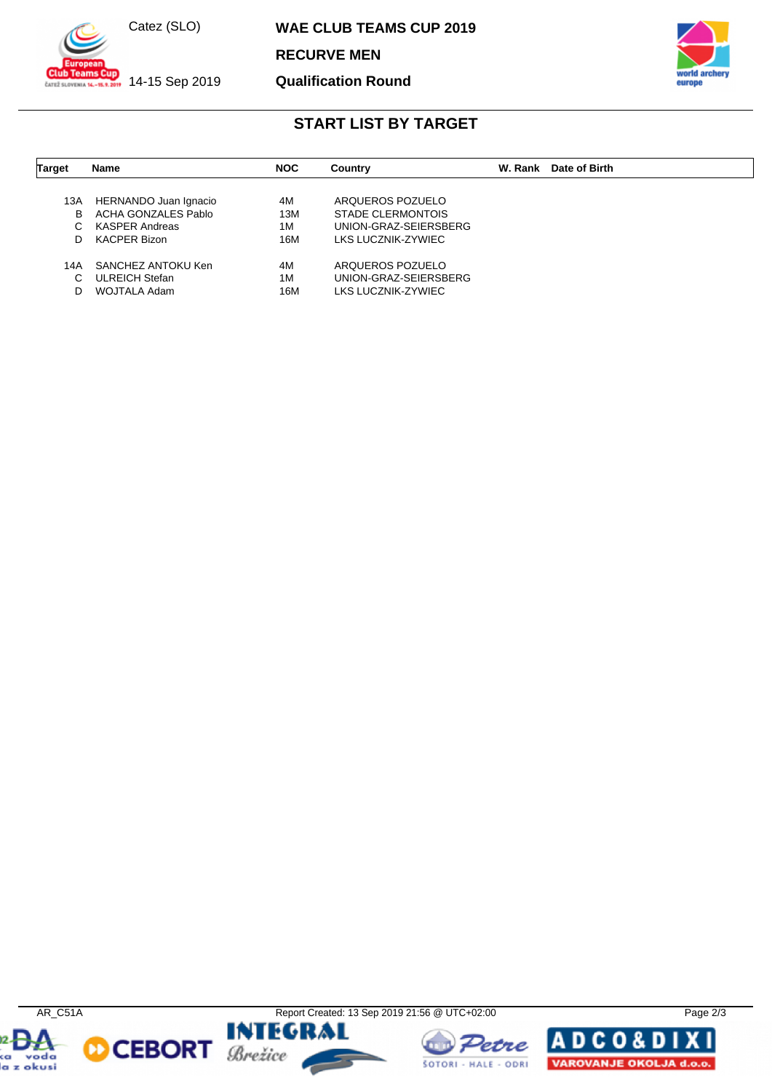

 $\frac{1}{201}$  14-15 Sep 2019

**WAE CLUB TEAMS CUP 2019**

**RECURVE MEN**

**Qualification Round**



# **START LIST BY TARGET**

| <b>Target</b> | <b>Name</b>           | <b>NOC</b> | Country                  | W. Rank | Date of Birth |
|---------------|-----------------------|------------|--------------------------|---------|---------------|
|               |                       |            |                          |         |               |
| 13A           | HERNANDO Juan Ignacio | 4M         | ARQUEROS POZUELO         |         |               |
| B             | ACHA GONZALES Pablo   | 13M        | <b>STADE CLERMONTOIS</b> |         |               |
| C.            | <b>KASPER Andreas</b> | 1M         | UNION-GRAZ-SEIERSBERG    |         |               |
| D             | KACPER Bizon          | 16M        | LKS LUCZNIK-ZYWIEC       |         |               |
| 14A           | SANCHEZ ANTOKU Ken    | 4M         | ARQUEROS POZUELO         |         |               |
| С             | <b>ULREICH Stefan</b> | 1M         | UNION-GRAZ-SEIERSBERG    |         |               |
| D             | WOJTALA Adam          | 16M        | LKS LUCZNIK-ZYWIEC       |         |               |